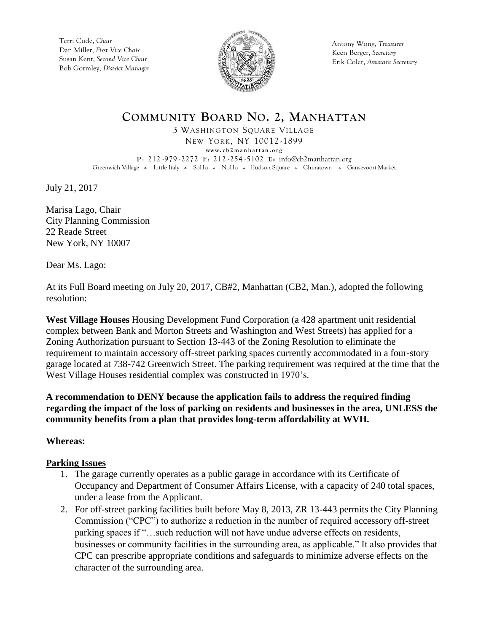Terri Cude, *Chair* Dan Miller, *First Vice Chair* Susan Kent, *Second Vice Chair* Bob Gormley, *District Manager*



Antony Wong, *Treasurer* Keen Berger, *Secretary* Erik Coler, *Assistant Secretary*

## **COMMUNITY BOARD NO. 2, MANHATTAN**

3 WASHINGTON SQUARE VILLAGE

NEW YORK, NY 10012 -1899 **www. c b 2 m a n h a t t a n . o r g P** : 212 -979 - 2272 **F** : 212 - 254 - 5102 **E:** [info@cb2manhattan.org](mailto:info@cb2manhattan.org) Greenwich Village . Little Italy . SoHo . NoHo . Hudson Square . Chinatown . Gansevoort Market

July 21, 2017

Marisa Lago, Chair City Planning Commission 22 Reade Street New York, NY 10007

Dear Ms. Lago:

At its Full Board meeting on July 20, 2017, CB#2, Manhattan (CB2, Man.), adopted the following resolution:

**West Village Houses** Housing Development Fund Corporation (a 428 apartment unit residential complex between Bank and Morton Streets and Washington and West Streets) has applied for a Zoning Authorization pursuant to Section 13-443 of the Zoning Resolution to eliminate the requirement to maintain accessory off-street parking spaces currently accommodated in a four-story garage located at 738-742 Greenwich Street. The parking requirement was required at the time that the West Village Houses residential complex was constructed in 1970's.

**A recommendation to DENY because the application fails to address the required finding regarding the impact of the loss of parking on residents and businesses in the area, UNLESS the community benefits from a plan that provides long-term affordability at WVH.**

**Whereas:**

## **Parking Issues**

- 1. The garage currently operates as a public garage in accordance with its Certificate of Occupancy and Department of Consumer Affairs License, with a capacity of 240 total spaces, under a lease from the Applicant.
- 2. For off-street parking facilities built before May 8, 2013, ZR 13-443 permits the City Planning Commission ("CPC") to authorize a reduction in the number of required accessory off-street parking spaces if "…such reduction will not have undue adverse effects on residents, businesses or community facilities in the surrounding area, as applicable." It also provides that CPC can prescribe appropriate conditions and safeguards to minimize adverse effects on the character of the surrounding area.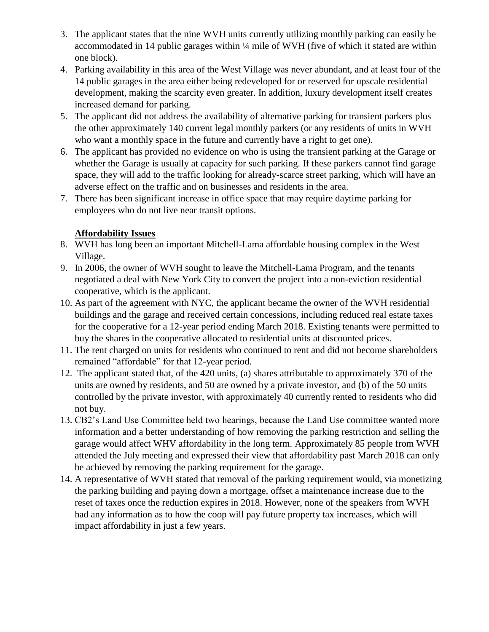- 3. The applicant states that the nine WVH units currently utilizing monthly parking can easily be accommodated in 14 public garages within ¼ mile of WVH (five of which it stated are within one block).
- 4. Parking availability in this area of the West Village was never abundant, and at least four of the 14 public garages in the area either being redeveloped for or reserved for upscale residential development, making the scarcity even greater. In addition, luxury development itself creates increased demand for parking.
- 5. The applicant did not address the availability of alternative parking for transient parkers plus the other approximately 140 current legal monthly parkers (or any residents of units in WVH who want a monthly space in the future and currently have a right to get one).
- 6. The applicant has provided no evidence on who is using the transient parking at the Garage or whether the Garage is usually at capacity for such parking. If these parkers cannot find garage space, they will add to the traffic looking for already-scarce street parking, which will have an adverse effect on the traffic and on businesses and residents in the area.
- 7. There has been significant increase in office space that may require daytime parking for employees who do not live near transit options.

## **Affordability Issues**

- 8. WVH has long been an important Mitchell-Lama affordable housing complex in the West Village.
- 9. In 2006, the owner of WVH sought to leave the Mitchell-Lama Program, and the tenants negotiated a deal with New York City to convert the project into a non-eviction residential cooperative, which is the applicant.
- 10. As part of the agreement with NYC, the applicant became the owner of the WVH residential buildings and the garage and received certain concessions, including reduced real estate taxes for the cooperative for a 12-year period ending March 2018. Existing tenants were permitted to buy the shares in the cooperative allocated to residential units at discounted prices.
- 11. The rent charged on units for residents who continued to rent and did not become shareholders remained "affordable" for that 12-year period.
- 12. The applicant stated that, of the 420 units, (a) shares attributable to approximately 370 of the units are owned by residents, and 50 are owned by a private investor, and (b) of the 50 units controlled by the private investor, with approximately 40 currently rented to residents who did not buy.
- 13. CB2's Land Use Committee held two hearings, because the Land Use committee wanted more information and a better understanding of how removing the parking restriction and selling the garage would affect WHV affordability in the long term. Approximately 85 people from WVH attended the July meeting and expressed their view that affordability past March 2018 can only be achieved by removing the parking requirement for the garage.
- 14. A representative of WVH stated that removal of the parking requirement would, via monetizing the parking building and paying down a mortgage, offset a maintenance increase due to the reset of taxes once the reduction expires in 2018. However, none of the speakers from WVH had any information as to how the coop will pay future property tax increases, which will impact affordability in just a few years.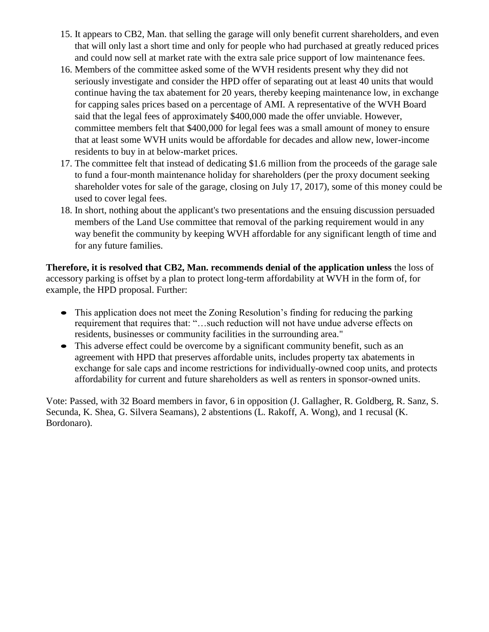- 15. It appears to CB2, Man. that selling the garage will only benefit current shareholders, and even that will only last a short time and only for people who had purchased at greatly reduced prices and could now sell at market rate with the extra sale price support of low maintenance fees.
- 16. Members of the committee asked some of the WVH residents present why they did not seriously investigate and consider the HPD offer of separating out at least 40 units that would continue having the tax abatement for 20 years, thereby keeping maintenance low, in exchange for capping sales prices based on a percentage of AMI. A representative of the WVH Board said that the legal fees of approximately \$400,000 made the offer unviable. However, committee members felt that \$400,000 for legal fees was a small amount of money to ensure that at least some WVH units would be affordable for decades and allow new, lower-income residents to buy in at below-market prices.
- 17. The committee felt that instead of dedicating \$1.6 million from the proceeds of the garage sale to fund a four-month maintenance holiday for shareholders (per the proxy document seeking shareholder votes for sale of the garage, closing on July 17, 2017), some of this money could be used to cover legal fees.
- 18. In short, nothing about the applicant's two presentations and the ensuing discussion persuaded members of the Land Use committee that removal of the parking requirement would in any way benefit the community by keeping WVH affordable for any significant length of time and for any future families.

**Therefore, it is resolved that CB2, Man. recommends denial of the application unless** the loss of accessory parking is offset by a plan to protect long-term affordability at WVH in the form of, for example, the HPD proposal. Further:

- This application does not meet the Zoning Resolution's finding for reducing the parking requirement that requires that: "…such reduction will not have undue adverse effects on residents, businesses or community facilities in the surrounding area."
- This adverse effect could be overcome by a significant community benefit, such as an agreement with HPD that preserves affordable units, includes property tax abatements in exchange for sale caps and income restrictions for individually-owned coop units, and protects affordability for current and future shareholders as well as renters in sponsor-owned units.

Vote: Passed, with 32 Board members in favor, 6 in opposition (J. Gallagher, R. Goldberg, R. Sanz, S. Secunda, K. Shea, G. Silvera Seamans), 2 abstentions (L. Rakoff, A. Wong), and 1 recusal (K. Bordonaro).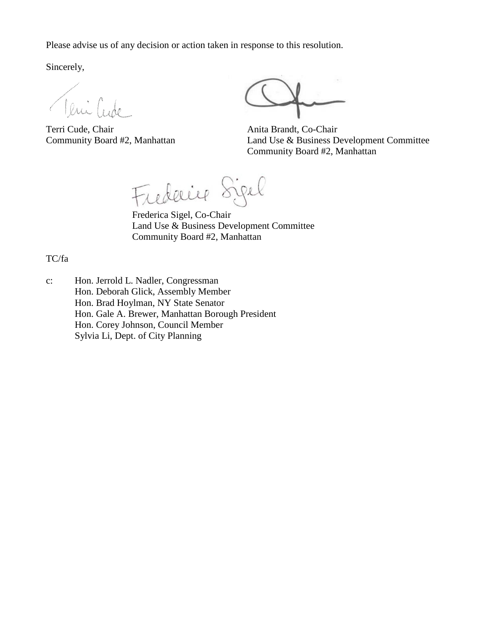Please advise us of any decision or action taken in response to this resolution.

Sincerely,

Teni Cude

Terri Cude, Chair Anita Brandt, Co-Chair

Community Board #2, Manhattan Land Use & Business Development Committee Community Board #2, Manhattan

Frederice Sigel

Frederica Sigel, Co-Chair Land Use & Business Development Committee Community Board #2, Manhattan

TC/fa

c: Hon. Jerrold L. Nadler, Congressman Hon. Deborah Glick, Assembly Member Hon. Brad Hoylman, NY State Senator Hon. Gale A. Brewer, Manhattan Borough President Hon. Corey Johnson, Council Member Sylvia Li, Dept. of City Planning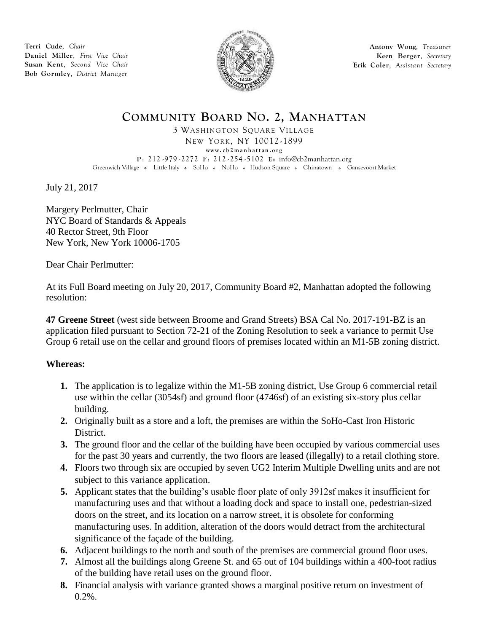**Terri Cude**, *Chair* **Daniel Miller**, *First Vice Chair* **Susan Kent**, *Second Vice Chair* **Bob Gormley**, *District Manager*



**Antony Wong**, *Treasurer* **Keen Berger**, *Secretary* **Erik Coler**, *Assistant Secretary*

## **COMMUNITY BOARD NO. 2, MANHATTAN**

3 WASHINGTON SQUARE VILLAGE

NEW YORK, NY 10012 -1899 **www. c b 2 m a n h a t t a n . o r g P** : 212 -979 - 2272 **F** : 212 - 254 - 5102 **E:** [info@cb2manhattan.org](mailto:info@cb2manhattan.org) Greenwich Village . Little Italy . SoHo . NoHo . Hudson Square . Chinatown . Gansevoort Market

July 21, 2017

Margery Perlmutter, Chair NYC Board of Standards & Appeals 40 Rector Street, 9th Floor New York, New York 10006-1705

Dear Chair Perlmutter:

At its Full Board meeting on July 20, 2017, Community Board #2, Manhattan adopted the following resolution:

**47 Greene Street** (west side between Broome and Grand Streets) BSA Cal No. 2017-191-BZ is an application filed pursuant to Section 72-21 of the Zoning Resolution to seek a variance to permit Use Group 6 retail use on the cellar and ground floors of premises located within an M1-5B zoning district.

## **Whereas:**

- **1.** The application is to legalize within the M1-5B zoning district, Use Group 6 commercial retail use within the cellar (3054sf) and ground floor (4746sf) of an existing six-story plus cellar building.
- **2.** Originally built as a store and a loft, the premises are within the SoHo-Cast Iron Historic District.
- **3.** The ground floor and the cellar of the building have been occupied by various commercial uses for the past 30 years and currently, the two floors are leased (illegally) to a retail clothing store.
- **4.** Floors two through six are occupied by seven UG2 Interim Multiple Dwelling units and are not subject to this variance application.
- **5.** Applicant states that the building's usable floor plate of only 3912sf makes it insufficient for manufacturing uses and that without a loading dock and space to install one, pedestrian-sized doors on the street, and its location on a narrow street, it is obsolete for conforming manufacturing uses. In addition, alteration of the doors would detract from the architectural significance of the façade of the building.
- **6.** Adjacent buildings to the north and south of the premises are commercial ground floor uses.
- **7.** Almost all the buildings along Greene St. and 65 out of 104 buildings within a 400-foot radius of the building have retail uses on the ground floor.
- **8.** Financial analysis with variance granted shows a marginal positive return on investment of  $0.2\%$ .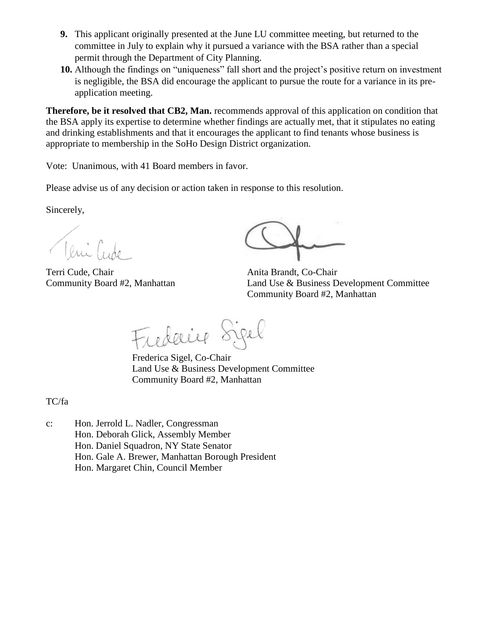- **9.** This applicant originally presented at the June LU committee meeting, but returned to the committee in July to explain why it pursued a variance with the BSA rather than a special permit through the Department of City Planning.
- **10.** Although the findings on "uniqueness" fall short and the project's positive return on investment is negligible, the BSA did encourage the applicant to pursue the route for a variance in its preapplication meeting.

**Therefore, be it resolved that CB2, Man.** recommends approval of this application on condition that the BSA apply its expertise to determine whether findings are actually met, that it stipulates no eating and drinking establishments and that it encourages the applicant to find tenants whose business is appropriate to membership in the SoHo Design District organization.

Vote: Unanimous, with 41 Board members in favor.

Please advise us of any decision or action taken in response to this resolution.

Sincerely,

Teni Cido

Terri Cude, Chair Anita Brandt, Co-Chair

Community Board #2, Manhattan Land Use & Business Development Committee Community Board #2, Manhattan

Frederice Sigel

Frederica Sigel, Co-Chair Land Use & Business Development Committee Community Board #2, Manhattan

TC/fa

c: Hon. Jerrold L. Nadler, Congressman Hon. Deborah Glick, Assembly Member Hon. Daniel Squadron, NY State Senator Hon. Gale A. Brewer, Manhattan Borough President Hon. Margaret Chin, Council Member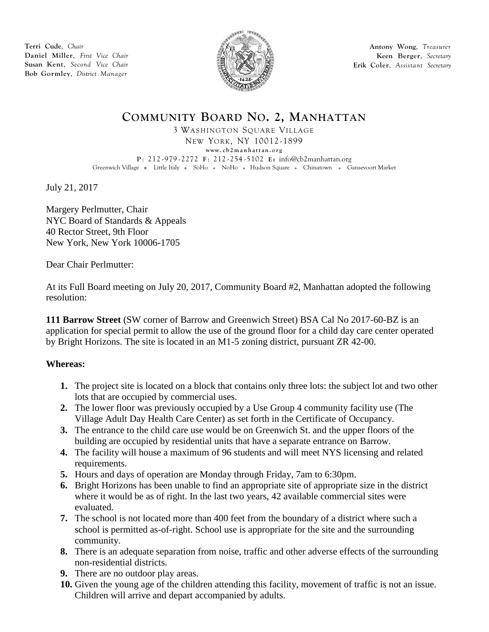**Terri Cude**, *Chair* **Daniel Miller**, *First Vice Chair* **Susan Kent**, *Second Vice Chair* **Bob Gormley**, *District Manager*



**Antony Wong**, *Treasurer* **Keen Berger**, *Secretary* **Erik Coler**, *Assistant Secretary*

## **COMMUNITY BOARD NO. 2, MANHATTAN**

3 WASHINGTON SQUARE VILLAGE

NEW YORK, NY 10012 -1899 **www. c b 2 m a n h a t t a n . o r g P** : 212 -979 - 2272 **F** : 212 - 254 - 5102 **E:** [info@cb2manhattan.org](mailto:info@cb2manhattan.org) Greenwich Village • Little Italy • SoHo • NoHo • Hudson Square • Chinatown • Gansevoort Market

July 21, 2017

Margery Perlmutter, Chair NYC Board of Standards & Appeals 40 Rector Street, 9th Floor New York, New York 10006-1705

Dear Chair Perlmutter:

At its Full Board meeting on July 20, 2017, Community Board #2, Manhattan adopted the following resolution:

**111 Barrow Street** (SW corner of Barrow and Greenwich Street) BSA Cal No 2017-60-BZ is an application for special permit to allow the use of the ground floor for a child day care center operated by Bright Horizons. The site is located in an M1-5 zoning district, pursuant ZR 42-00.

## **Whereas:**

- **1.** The project site is located on a block that contains only three lots: the subject lot and two other lots that are occupied by commercial uses.
- **2.** The lower floor was previously occupied by a Use Group 4 community facility use (The Village Adult Day Health Care Center) as set forth in the Certificate of Occupancy.
- **3.** The entrance to the child care use would be on Greenwich St. and the upper floors of the building are occupied by residential units that have a separate entrance on Barrow.
- **4.** The facility will house a maximum of 96 students and will meet NYS licensing and related requirements.
- **5.** Hours and days of operation are Monday through Friday, 7am to 6:30pm.
- **6.** Bright Horizons has been unable to find an appropriate site of appropriate size in the district where it would be as of right. In the last two years, 42 available commercial sites were evaluated.
- **7.** The school is not located more than 400 feet from the boundary of a district where such a school is permitted as-of-right. School use is appropriate for the site and the surrounding community.
- **8.** There is an adequate separation from noise, traffic and other adverse effects of the surrounding non-residential districts.
- **9.** There are no outdoor play areas.
- **10.** Given the young age of the children attending this facility, movement of traffic is not an issue. Children will arrive and depart accompanied by adults.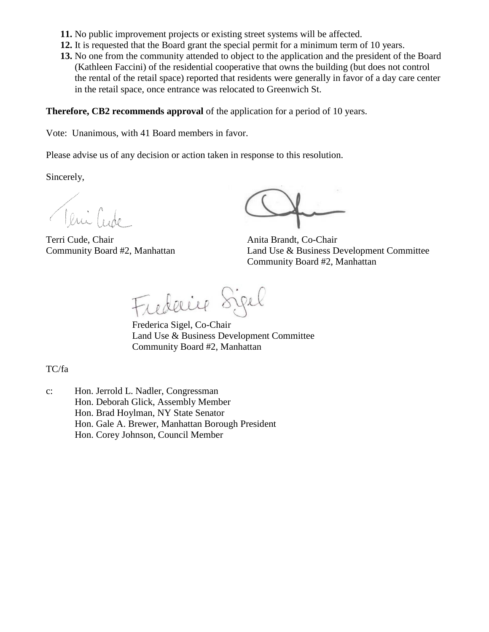- **11.** No public improvement projects or existing street systems will be affected.
- **12.** It is requested that the Board grant the special permit for a minimum term of 10 years.
- **13.** No one from the community attended to object to the application and the president of the Board (Kathleen Faccini) of the residential cooperative that owns the building (but does not control the rental of the retail space) reported that residents were generally in favor of a day care center in the retail space, once entrance was relocated to Greenwich St.

#### **Therefore, CB2 recommends approval** of the application for a period of 10 years.

Vote: Unanimous, with 41 Board members in favor.

Please advise us of any decision or action taken in response to this resolution.

Sincerely,

Teni Code

Terri Cude, Chair Anita Brandt, Co-Chair

Community Board #2, Manhattan Land Use & Business Development Committee Community Board #2, Manhattan

Frederice Sigel

Frederica Sigel, Co-Chair Land Use & Business Development Committee Community Board #2, Manhattan

TC/fa

c: Hon. Jerrold L. Nadler, Congressman Hon. Deborah Glick, Assembly Member Hon. Brad Hoylman, NY State Senator Hon. Gale A. Brewer, Manhattan Borough President Hon. Corey Johnson, Council Member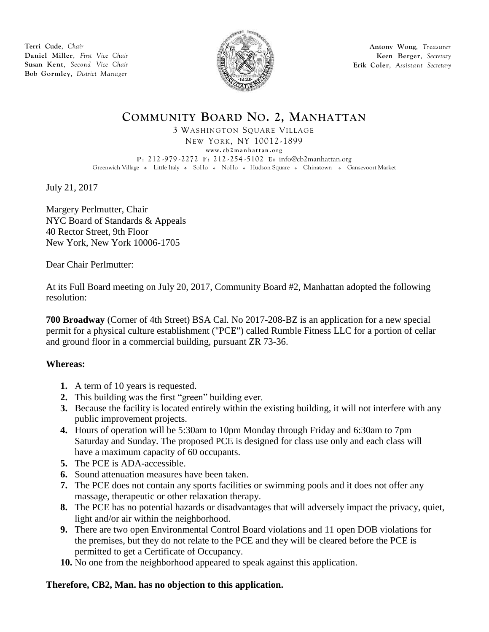**Terri Cude**, *Chair* **Daniel Miller**, *First Vice Chair* **Susan Kent**, *Second Vice Chair* **Bob Gormley**, *District Manager*



**Antony Wong**, *Treasurer* **Keen Berger**, *Secretary* **Erik Coler**, *Assistant Secretary*

## **COMMUNITY BOARD NO. 2, MANHATTAN**

3 WASHINGTON SQUARE VILLAGE

NEW YORK, NY 10012 -1899 **www. c b 2 m a n h a t t a n . o r g**

**P** : 212 -979 - 2272 **F** : 212 - 254 - 5102 **E:** [info@cb2manhattan.org](mailto:info@cb2manhattan.org) Greenwich Village . Little Italy . SoHo . NoHo . Hudson Square . Chinatown . Gansevoort Market

July 21, 2017

Margery Perlmutter, Chair NYC Board of Standards & Appeals 40 Rector Street, 9th Floor New York, New York 10006-1705

Dear Chair Perlmutter:

At its Full Board meeting on July 20, 2017, Community Board #2, Manhattan adopted the following resolution:

**700 Broadway** (Corner of 4th Street) BSA Cal. No 2017-208-BZ is an application for a new special permit for a physical culture establishment ("PCE") called Rumble Fitness LLC for a portion of cellar and ground floor in a commercial building, pursuant ZR 73-36.

## **Whereas:**

- **1.** A term of 10 years is requested.
- **2.** This building was the first "green" building ever.
- **3.** Because the facility is located entirely within the existing building, it will not interfere with any public improvement projects.
- **4.** Hours of operation will be 5:30am to 10pm Monday through Friday and 6:30am to 7pm Saturday and Sunday. The proposed PCE is designed for class use only and each class will have a maximum capacity of 60 occupants.
- **5.** The PCE is ADA-accessible.
- **6.** Sound attenuation measures have been taken.
- **7.** The PCE does not contain any sports facilities or swimming pools and it does not offer any massage, therapeutic or other relaxation therapy.
- **8.** The PCE has no potential hazards or disadvantages that will adversely impact the privacy, quiet, light and/or air within the neighborhood.
- **9.** There are two open Environmental Control Board violations and 11 open DOB violations for the premises, but they do not relate to the PCE and they will be cleared before the PCE is permitted to get a Certificate of Occupancy.
- **10.** No one from the neighborhood appeared to speak against this application.

## **Therefore, CB2, Man. has no objection to this application.**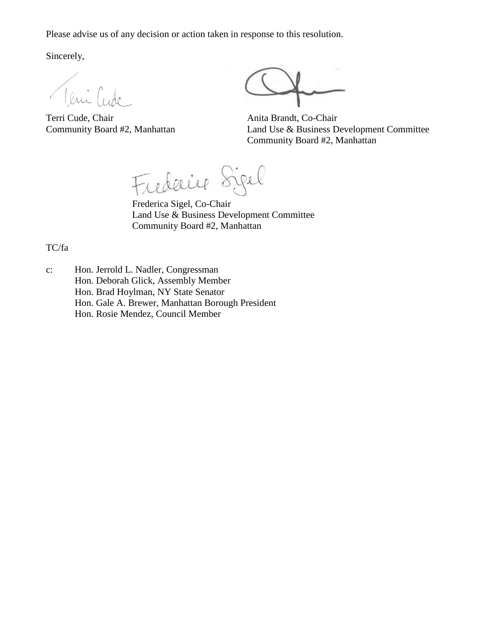Please advise us of any decision or action taken in response to this resolution.

Sincerely,

Jeni Cu

Terri Cude, Chair Anita Brandt, Co-Chair

Community Board #2, Manhattan Land Use & Business Development Committee Community Board #2, Manhattan

Frederice Sigel

Frederica Sigel, Co-Chair Land Use & Business Development Committee Community Board #2, Manhattan

TC/fa

- c: Hon. Jerrold L. Nadler, Congressman
	- Hon. Deborah Glick, Assembly Member

Hon. Brad Hoylman, NY State Senator

Hon. Gale A. Brewer, Manhattan Borough President

Hon. Rosie Mendez, Council Member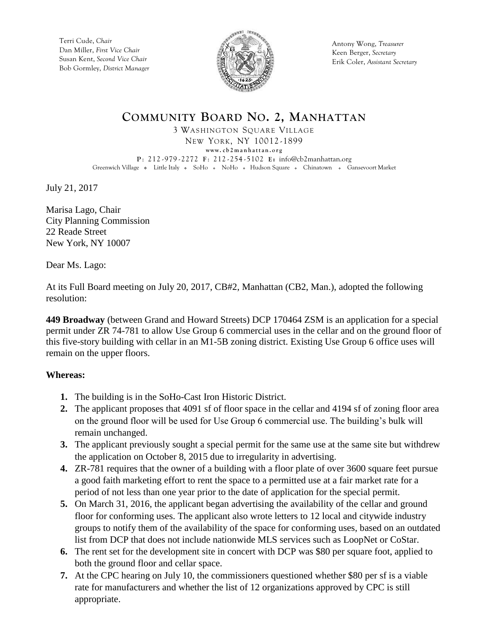Terri Cude, *Chair* Dan Miller, *First Vice Chair* Susan Kent, *Second Vice Chair* Bob Gormley, *District Manager*



Antony Wong, *Treasurer* Keen Berger, *Secretary* Erik Coler, *Assistant Secretary*

# **COMMUNITY BOARD NO. 2, MANHATTAN**

3 WASHINGTON SQUARE VILLAGE

NEW YORK, NY 10012 -1899 **www. c b 2 m a n h a t t a n . o r g P** : 212 -979 - 2272 **F** : 212 - 254 - 5102 **E:** [info@cb2manhattan.org](mailto:info@cb2manhattan.org) Greenwich Village . Little Italy . SoHo . NoHo . Hudson Square . Chinatown . Gansevoort Market

July 21, 2017

Marisa Lago, Chair City Planning Commission 22 Reade Street New York, NY 10007

Dear Ms. Lago:

At its Full Board meeting on July 20, 2017, CB#2, Manhattan (CB2, Man.), adopted the following resolution:

**449 Broadway** (between Grand and Howard Streets) DCP 170464 ZSM is an application for a special permit under ZR 74-781 to allow Use Group 6 commercial uses in the cellar and on the ground floor of this five-story building with cellar in an M1-5B zoning district. Existing Use Group 6 office uses will remain on the upper floors.

## **Whereas:**

- **1.** The building is in the SoHo-Cast Iron Historic District.
- **2.** The applicant proposes that 4091 sf of floor space in the cellar and 4194 sf of zoning floor area on the ground floor will be used for Use Group 6 commercial use. The building's bulk will remain unchanged.
- **3.** The applicant previously sought a special permit for the same use at the same site but withdrew the application on October 8, 2015 due to irregularity in advertising.
- **4.** ZR-781 requires that the owner of a building with a floor plate of over 3600 square feet pursue a good faith marketing effort to rent the space to a permitted use at a fair market rate for a period of not less than one year prior to the date of application for the special permit.
- **5.** On March 31, 2016, the applicant began advertising the availability of the cellar and ground floor for conforming uses. The applicant also wrote letters to 12 local and citywide industry groups to notify them of the availability of the space for conforming uses, based on an outdated list from DCP that does not include nationwide MLS services such as LoopNet or CoStar.
- **6.** The rent set for the development site in concert with DCP was \$80 per square foot, applied to both the ground floor and cellar space.
- **7.** At the CPC hearing on July 10, the commissioners questioned whether \$80 per sf is a viable rate for manufacturers and whether the list of 12 organizations approved by CPC is still appropriate.